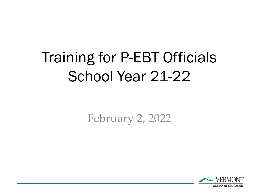# Training for P-EBT Officials School Year 21-22

February 2, 2022

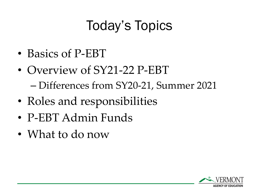# Today's Topics

- Basics of P-EBT
- Overview of SY21-22 P-EBT – Differences from SY20-21, Summer 2021
- Roles and responsibilities
- P-EBT Admin Funds
- What to do now

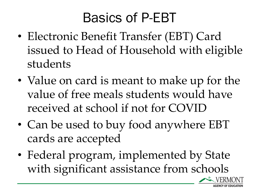### Basics of P-EBT

- Electronic Benefit Transfer (EBT) Card issued to Head of Household with eligible students
- Value on card is meant to make up for the value of free meals students would have received at school if not for COVID
- Can be used to buy food anywhere EBT cards are accepted
- Federal program, implemented by State with significant assistance from schools

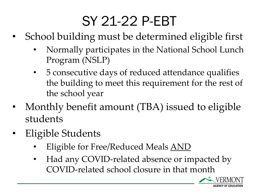# SY 21-22 P-EBT

- School building must be determined eligible first
	- Normally participates in the National School Lunch Program (NSLP)
	- 5 consecutive days of reduced attendance qualifies the building to meet this requirement for the rest of the school year
- Monthly benefit amount (TBA) issued to eligible students
- Eligible Students
	- Eligible for Free/Reduced Meals AND
	- Had any COVID-related absence or impacted by COVID-related school closure in that month

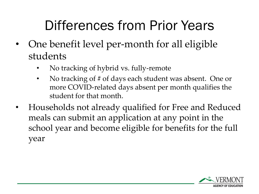# Differences from Prior Years

- One benefit level per-month for all eligible students
	- No tracking of hybrid vs. fully-remote
	- No tracking of # of days each student was absent. One or more COVID-related days absent per month qualifies the student for that month.
- Households not already qualified for Free and Reduced meals can submit an application at any point in the school year and become eligible for benefits for the full year

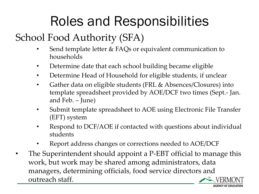# Roles and Responsibilities

#### School Food Authority (SFA)

- Send template letter & FAQs or equivalent communication to households
- Determine date that each school building became eligible
- Determine Head of Household for eligible students, if unclear
- Gather data on eligible students (FRL & Absences/Closures) into template spreadsheet provided by AOE/DCF two times (Sept.- Jan. and Feb. – June)
- Submit template spreadsheet to AOE using Electronic File Transfer (EFT) system
- Respond to DCF/AOE if contacted with questions about individual students
- Report address changes or corrections needed to AOE/DCF
- The Superintendent should appoint a P-EBT official to manage this work, but work may be shared among administrators, data managers, determining officials, food service directors and outreach staff.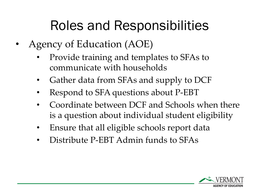# Roles and Responsibilities

- Agency of Education (AOE)
	- Provide training and templates to SFAs to communicate with households
	- Gather data from SFAs and supply to DCF
	- Respond to SFA questions about P-EBT
	- Coordinate between DCF and Schools when there is a question about individual student eligibility
	- Ensure that all eligible schools report data
	- Distribute P-EBT Admin funds to SFAs

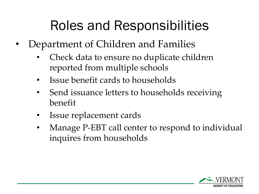# Roles and Responsibilities

- Department of Children and Families
	- Check data to ensure no duplicate children reported from multiple schools
	- Issue benefit cards to households
	- Send issuance letters to households receiving benefit
	- Issue replacement cards
	- Manage P-EBT call center to respond to individual inquires from households

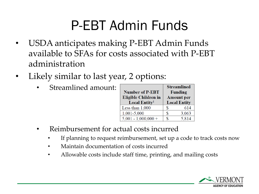# P-EBT Admin Funds

- USDA anticipates making P-EBT Admin Funds available to SFAs for costs associated with P-EBT administration
- Likely similar to last year, 2 options:
	- Streamlined amount:

|                             | <b>Streamlined</b>  |  |
|-----------------------------|---------------------|--|
| <b>Number of P-EBT</b>      | <b>Funding</b>      |  |
| <b>Eligible Children in</b> | <b>Amount</b> per   |  |
| Local Entity <sup>1</sup>   | <b>Local Entity</b> |  |
| Less than $1,000$           | \$<br>614           |  |
| 1,001-5,000                 | 3,063<br>S          |  |
| $5,001 - 1,000,000 +$       | 5,814<br>S          |  |

- Reimbursement for actual costs incurred
	- If planning to request reimbursement, set up a code to track costs now
	- Maintain documentation of costs incurred
	- Allowable costs include staff time, printing, and mailing costs

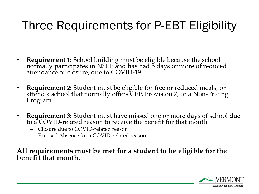### Three Requirements for P-EBT Eligibility

- **Requirement 1:** School building must be eligible because the school normally participates in NSLP and has had 5 days or more of reduced attendance or closure, due to COVID-19
- **Requirement 2:** Student must be eligible for free or reduced meals, or attend a school that normally offers CEP, Provision 2, or a Non-Pricing Program
- **Requirement 3:** Student must have missed one or more days of school due to a COVID-related reason to receive the benefit for that month
	- Closure due to COVID-related reason
	- Excused Absence for a COVID-related reason

#### **All requirements must be met for a student to be eligible for the benefit that month.**

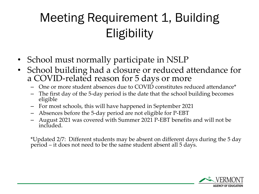### Meeting Requirement 1, Building **Eligibility**

- School must normally participate in NSLP
- School building had a closure or reduced attendance for a COVID-related reason for 5 days or more
	- One or more student absences due to COVID constitutes reduced attendance\*
	- The first day of the 5-day period is the date that the school building becomes eligible
	- For most schools, this will have happened in September 2021
	- Absences before the 5-day period are not eligible for P-EBT
	- August 2021 was covered with Summer 2021 P-EBT benefits and will not be included.

\*Updated 2/7: Different students may be absent on different days during the 5 day period – it does not need to be the same student absent all 5 days.

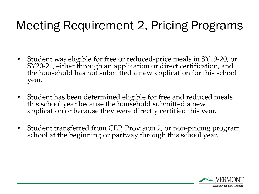#### Meeting Requirement 2, Pricing Programs

- Student was eligible for free or reduced-price meals in SY19-20, or SY20-21, either through an application or direct certification, and the household has not submitted a new application for this school year.
- Student has been determined eligible for free and reduced meals this school year because the household submitted a new application or because they were directly certified this year.
- Student transferred from CEP, Provision 2, or non-pricing program school at the beginning or partway through this school year.

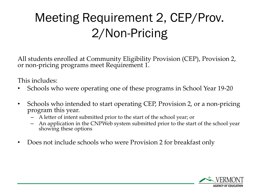### Meeting Requirement 2, CEP/Prov. 2/Non-Pricing

All students enrolled at Community Eligibility Provision (CEP), Provision 2, or non-pricing programs meet Requirement 1.

This includes:

- Schools who were operating one of these programs in School Year 19-20
- Schools who intended to start operating CEP, Provision 2, or a non-pricing program this year.
	- A letter of intent submitted prior to the start of the school year; or
	- An application in the CNPWeb system submitted prior to the start of the school year showing these options
- Does not include schools who were Provision 2 for breakfast only

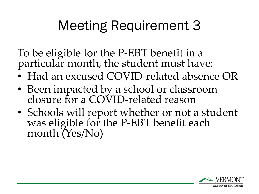# Meeting Requirement 3

To be eligible for the P-EBT benefit in a particular month, the student must have:

- Had an excused COVID-related absence OR
- Been impacted by a school or classroom closure for a COVID-related reason
- Schools will report whether or not a student was eligible for the P-EBT benefit each month (Yes/No)

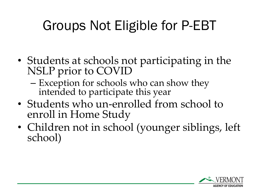# Groups Not Eligible for P-EBT

- Students at schools not participating in the NSLP prior to COVID
	- Exception for schools who can show they intended to participate this year
- Students who un-enrolled from school to enroll in Home Study
- Children not in school (younger siblings, left school)

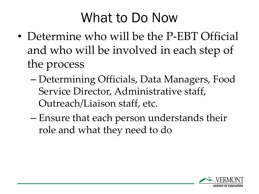### What to Do Now

- Determine who will be the P-EBT Official and who will be involved in each step of the process
	- Determining Officials, Data Managers, Food Service Director, Administrative staff, Outreach/Liaison staff, etc.
	- Ensure that each person understands their role and what they need to do

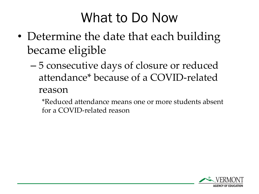### What to Do Now

- Determine the date that each building became eligible
	- 5 consecutive days of closure or reduced attendance\* because of a COVID-related

reason

\*Reduced attendance means one or more students absent for a COVID-related reason

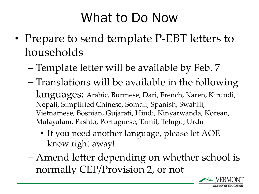### What to Do Now

- Prepare to send template P-EBT letters to households
	- Template letter will be available by Feb. 7
	- Translations will be available in the following languages: Arabic, Burmese, Dari, French, Karen, Kirundi, Nepali, Simplified Chinese, Somali, Spanish, Swahili, Vietnamese, Bosnian, Gujarati, Hindi, Kinyarwanda, Korean, Malayalam, Pashto, Portuguese, Tamil, Telugu, Urdu
		- If you need another language, please let AOE know right away!
	- Amend letter depending on whether school is normally CEP/Provision 2, or not

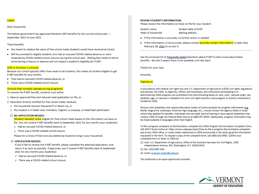

#### Dear Household,

The federal government has approved Pandemic-EBT benefits for the current school year -September 2021 to June 2022.

#### These benefits:

- Are meant to replace the value of free school meals students would have received at school.
- . Will be provided to eligible students who had an excused COVID-related absence or were impacted by COVID-related school closures during the school year. Getting free meals to eat at home during a closure or absence will not impact a student's eligibility for P-EBT.

#### [CEP or Provision 2 schools]:

Because our school typically offers free meals to all students, this makes all student eligible to get P-EBT benefits for any months:

- . They had an excused COVID-related absence, or
- . There was a COVID-related school closure.

#### [Schools that normally operate pricing programs]:

To receive the P-EBT benefit, students must either:

- 1. Have an approved free and reduced meal application on file, or
- 2. Have been directly certified for free school meals, because:
	- o the household receives 3SquaresVT or Reach Up, or
	- o the student is in foster care, homeless, migrant, a runaway, or Head Start participant.

#### $\Box$  NO APPLICATION NEEDED:

[Student name(s)] is/are eligible for free school meals based on the information we have on file. You will receive P-EBT benefits back to September 2021 for any months your student(s):

- o Had an excused COVID-related absence, or
- o There was a COVID-related school closure.

Please let us know if there are any additional students living in your household.

#### □ APPLICATION NEEDED:

If you'd like to receive the P-EBT benefit, please complete the attached application, and return it as soon as possible. If approved, you'll receive P-EBT benefits back to September 2021 for any months your student(s):

- o Had an excused COVID-related absence, or
- o There was a COVID-related school closure.

#### **REVIEW STUDENT'S INFORMATION:**

Please review the information we have on file for your student.

| Student name:      |  |
|--------------------|--|
| Head of household: |  |

Student date of birth: Mailing address:

- If the information is accurate, no further action is needed.
- . If the information is not accurate, please contact [provide contact information] no later than February 28, 2022 to correct it.

See the enclosed list of *Erequently-Asked Questions about P-EBT* to learn more about these benefits. We don't expect them to be available until late April.

Thanks for your help.

Sincerely,

#### [Signature]

In accordance with Federal civil rights law and U.S. Department of Agriculture (USDA) civil rights regulations and policies, the USDA, its Agencies, offices, and employees, and institutions participating in or administering USDA programs are prohibited from discriminating based on race, color, national origin, sex, disability, age, or reprisal or retaliation for prior civil rights activity in any program or activity conducted or funded by USDA.

Persons with disabilities who require alternative means of communication for program information (e.g. Braille, large print, audiotape, American Sign Language, etc.), should contact the Agency (State or local) where they applied for benefits. Individuals who are deaf, hard of hearing or have speech disabilities may contact USDA through the Federal Relay Service at (800) 877-8339. Additionally, program information may be made available in languages other than English.

To file a program complaint of discrimination, complete the USDA Program Discrimination Complaint Form, (AD-3027) found online at: https://www.usda.gov/oascr/how-to-file-a-program-discrimination-complaint, and at any USDA office, or write a letter addressed to USDA and provide in the letter all of the information requested in the form. To request a copy of the complaint form, call (866) 632-9992. Submit your completed form or letter to USDA by:

(1) mail: U.S. Department of Agriculture, Office of the Assistant Secretary for Civil Rights, 1400 Independence Avenue, SW, Washington, D.C. 20250-9410

(2) fax: (202) 690-7442

(3) email: program.intake@usda.gov

This institution is an equal opportunity provider.